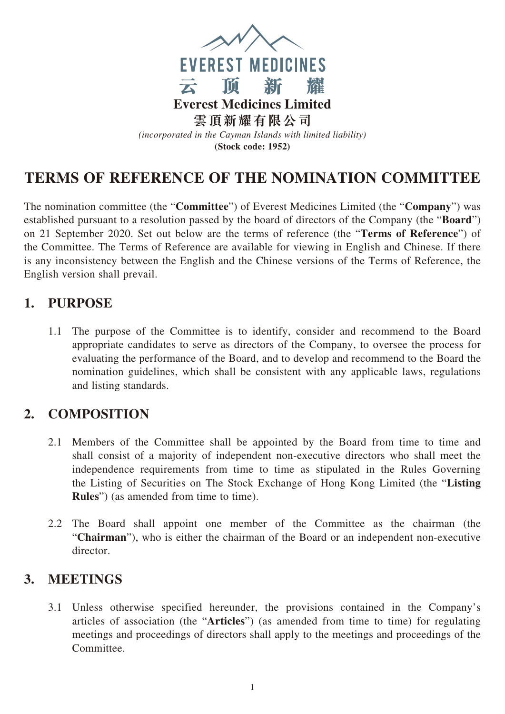

# **TERMS OF REFERENCE OF THE NOMINATION COMMITTEE**

The nomination committee (the "**Committee**") of Everest Medicines Limited (the "**Company**") was established pursuant to a resolution passed by the board of directors of the Company (the "**Board**") on 21 September 2020. Set out below are the terms of reference (the "**Terms of Reference**") of the Committee. The Terms of Reference are available for viewing in English and Chinese. If there is any inconsistency between the English and the Chinese versions of the Terms of Reference, the English version shall prevail.

#### **1. PURPOSE**

1.1 The purpose of the Committee is to identify, consider and recommend to the Board appropriate candidates to serve as directors of the Company, to oversee the process for evaluating the performance of the Board, and to develop and recommend to the Board the nomination guidelines, which shall be consistent with any applicable laws, regulations and listing standards.

## **2. COMPOSITION**

- 2.1 Members of the Committee shall be appointed by the Board from time to time and shall consist of a majority of independent non-executive directors who shall meet the independence requirements from time to time as stipulated in the Rules Governing the Listing of Securities on The Stock Exchange of Hong Kong Limited (the "**Listing Rules**") (as amended from time to time).
- 2.2 The Board shall appoint one member of the Committee as the chairman (the "**Chairman**"), who is either the chairman of the Board or an independent non-executive director.

### **3. MEETINGS**

3.1 Unless otherwise specified hereunder, the provisions contained in the Company's articles of association (the "**Articles**") (as amended from time to time) for regulating meetings and proceedings of directors shall apply to the meetings and proceedings of the Committee.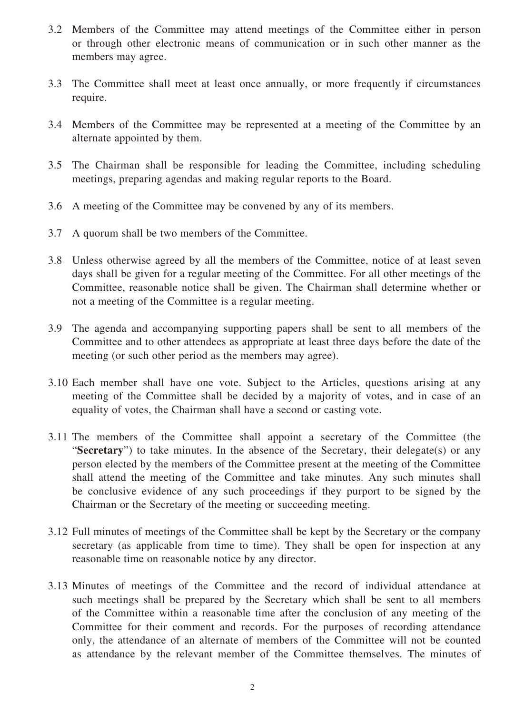- 3.2 Members of the Committee may attend meetings of the Committee either in person or through other electronic means of communication or in such other manner as the members may agree.
- 3.3 The Committee shall meet at least once annually, or more frequently if circumstances require.
- 3.4 Members of the Committee may be represented at a meeting of the Committee by an alternate appointed by them.
- 3.5 The Chairman shall be responsible for leading the Committee, including scheduling meetings, preparing agendas and making regular reports to the Board.
- 3.6 A meeting of the Committee may be convened by any of its members.
- 3.7 A quorum shall be two members of the Committee.
- 3.8 Unless otherwise agreed by all the members of the Committee, notice of at least seven days shall be given for a regular meeting of the Committee. For all other meetings of the Committee, reasonable notice shall be given. The Chairman shall determine whether or not a meeting of the Committee is a regular meeting.
- 3.9 The agenda and accompanying supporting papers shall be sent to all members of the Committee and to other attendees as appropriate at least three days before the date of the meeting (or such other period as the members may agree).
- 3.10 Each member shall have one vote. Subject to the Articles, questions arising at any meeting of the Committee shall be decided by a majority of votes, and in case of an equality of votes, the Chairman shall have a second or casting vote.
- 3.11 The members of the Committee shall appoint a secretary of the Committee (the "**Secretary**") to take minutes. In the absence of the Secretary, their delegate(s) or any person elected by the members of the Committee present at the meeting of the Committee shall attend the meeting of the Committee and take minutes. Any such minutes shall be conclusive evidence of any such proceedings if they purport to be signed by the Chairman or the Secretary of the meeting or succeeding meeting.
- 3.12 Full minutes of meetings of the Committee shall be kept by the Secretary or the company secretary (as applicable from time to time). They shall be open for inspection at any reasonable time on reasonable notice by any director.
- 3.13 Minutes of meetings of the Committee and the record of individual attendance at such meetings shall be prepared by the Secretary which shall be sent to all members of the Committee within a reasonable time after the conclusion of any meeting of the Committee for their comment and records. For the purposes of recording attendance only, the attendance of an alternate of members of the Committee will not be counted as attendance by the relevant member of the Committee themselves. The minutes of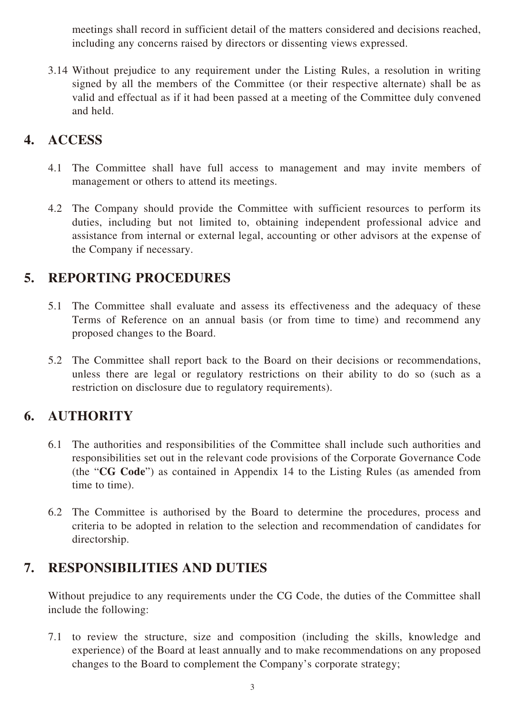meetings shall record in sufficient detail of the matters considered and decisions reached, including any concerns raised by directors or dissenting views expressed.

3.14 Without prejudice to any requirement under the Listing Rules, a resolution in writing signed by all the members of the Committee (or their respective alternate) shall be as valid and effectual as if it had been passed at a meeting of the Committee duly convened and held.

#### **4. ACCESS**

- 4.1 The Committee shall have full access to management and may invite members of management or others to attend its meetings.
- 4.2 The Company should provide the Committee with sufficient resources to perform its duties, including but not limited to, obtaining independent professional advice and assistance from internal or external legal, accounting or other advisors at the expense of the Company if necessary.

#### **5. REPORTING PROCEDURES**

- 5.1 The Committee shall evaluate and assess its effectiveness and the adequacy of these Terms of Reference on an annual basis (or from time to time) and recommend any proposed changes to the Board.
- 5.2 The Committee shall report back to the Board on their decisions or recommendations, unless there are legal or regulatory restrictions on their ability to do so (such as a restriction on disclosure due to regulatory requirements).

### **6. AUTHORITY**

- 6.1 The authorities and responsibilities of the Committee shall include such authorities and responsibilities set out in the relevant code provisions of the Corporate Governance Code (the "**CG Code**") as contained in Appendix 14 to the Listing Rules (as amended from time to time).
- 6.2 The Committee is authorised by the Board to determine the procedures, process and criteria to be adopted in relation to the selection and recommendation of candidates for directorship.

#### **7. RESPONSIBILITIES AND DUTIES**

Without prejudice to any requirements under the CG Code, the duties of the Committee shall include the following:

7.1 to review the structure, size and composition (including the skills, knowledge and experience) of the Board at least annually and to make recommendations on any proposed changes to the Board to complement the Company's corporate strategy;